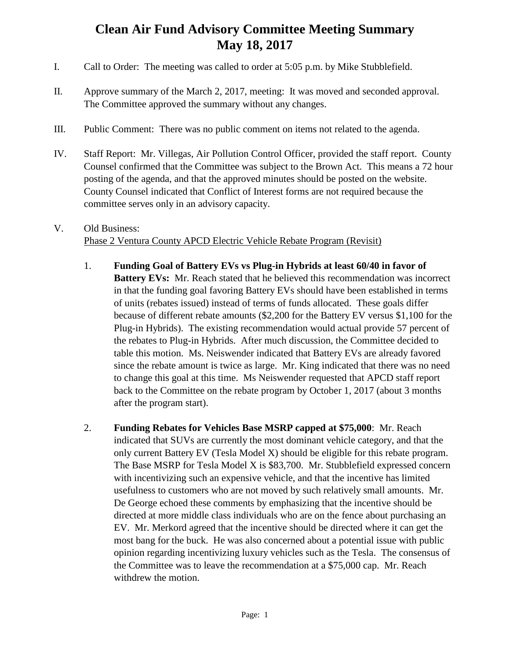## **Clean Air Fund Advisory Committee Meeting Summary May 18, 2017**

- I. Call to Order: The meeting was called to order at 5:05 p.m. by Mike Stubblefield.
- II. Approve summary of the March 2, 2017, meeting: It was moved and seconded approval. The Committee approved the summary without any changes.
- III. Public Comment: There was no public comment on items not related to the agenda.
- IV. Staff Report: Mr. Villegas, Air Pollution Control Officer, provided the staff report. County Counsel confirmed that the Committee was subject to the Brown Act. This means a 72 hour posting of the agenda, and that the approved minutes should be posted on the website. County Counsel indicated that Conflict of Interest forms are not required because the committee serves only in an advisory capacity.

## V. Old Business: Phase 2 Ventura County APCD Electric Vehicle Rebate Program (Revisit)

- 1. **Funding Goal of Battery EVs vs Plug-in Hybrids at least 60/40 in favor of Battery EVs:** Mr. Reach stated that he believed this recommendation was incorrect in that the funding goal favoring Battery EVs should have been established in terms of units (rebates issued) instead of terms of funds allocated. These goals differ because of different rebate amounts (\$2,200 for the Battery EV versus \$1,100 for the Plug-in Hybrids). The existing recommendation would actual provide 57 percent of the rebates to Plug-in Hybrids. After much discussion, the Committee decided to table this motion. Ms. Neiswender indicated that Battery EVs are already favored since the rebate amount is twice as large. Mr. King indicated that there was no need to change this goal at this time. Ms Neiswender requested that APCD staff report back to the Committee on the rebate program by October 1, 2017 (about 3 months after the program start).
- 2. **Funding Rebates for Vehicles Base MSRP capped at \$75,000**: Mr. Reach indicated that SUVs are currently the most dominant vehicle category, and that the only current Battery EV (Tesla Model X) should be eligible for this rebate program. The Base MSRP for Tesla Model X is \$83,700. Mr. Stubblefield expressed concern with incentivizing such an expensive vehicle, and that the incentive has limited usefulness to customers who are not moved by such relatively small amounts. Mr. De George echoed these comments by emphasizing that the incentive should be directed at more middle class individuals who are on the fence about purchasing an EV. Mr. Merkord agreed that the incentive should be directed where it can get the most bang for the buck. He was also concerned about a potential issue with public opinion regarding incentivizing luxury vehicles such as the Tesla. The consensus of the Committee was to leave the recommendation at a \$75,000 cap. Mr. Reach withdrew the motion.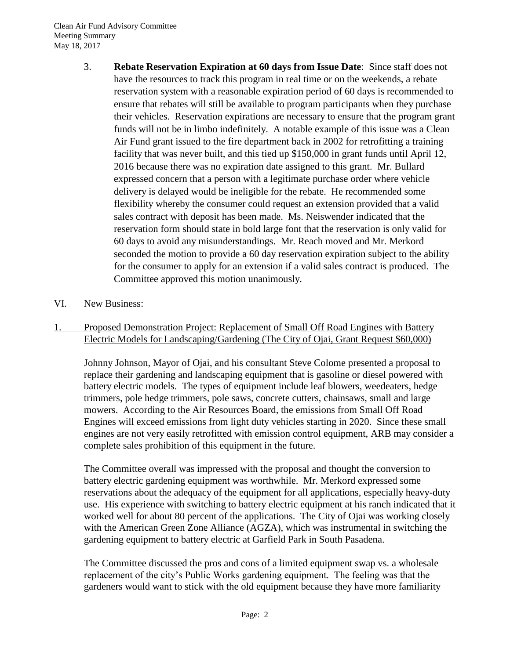Clean Air Fund Advisory Committee Meeting Summary May 18, 2017

- 3. **Rebate Reservation Expiration at 60 days from Issue Date**: Since staff does not have the resources to track this program in real time or on the weekends, a rebate reservation system with a reasonable expiration period of 60 days is recommended to ensure that rebates will still be available to program participants when they purchase their vehicles. Reservation expirations are necessary to ensure that the program grant funds will not be in limbo indefinitely. A notable example of this issue was a Clean Air Fund grant issued to the fire department back in 2002 for retrofitting a training facility that was never built, and this tied up \$150,000 in grant funds until April 12, 2016 because there was no expiration date assigned to this grant. Mr. Bullard expressed concern that a person with a legitimate purchase order where vehicle delivery is delayed would be ineligible for the rebate. He recommended some flexibility whereby the consumer could request an extension provided that a valid sales contract with deposit has been made. Ms. Neiswender indicated that the reservation form should state in bold large font that the reservation is only valid for 60 days to avoid any misunderstandings. Mr. Reach moved and Mr. Merkord seconded the motion to provide a 60 day reservation expiration subject to the ability for the consumer to apply for an extension if a valid sales contract is produced. The Committee approved this motion unanimously.
- VI. New Business:
- 1. Proposed Demonstration Project: Replacement of Small Off Road Engines with Battery Electric Models for Landscaping/Gardening (The City of Ojai, Grant Request \$60,000)

Johnny Johnson, Mayor of Ojai, and his consultant Steve Colome presented a proposal to replace their gardening and landscaping equipment that is gasoline or diesel powered with battery electric models. The types of equipment include leaf blowers, weedeaters, hedge trimmers, pole hedge trimmers, pole saws, concrete cutters, chainsaws, small and large mowers. According to the Air Resources Board, the emissions from Small Off Road Engines will exceed emissions from light duty vehicles starting in 2020. Since these small engines are not very easily retrofitted with emission control equipment, ARB may consider a complete sales prohibition of this equipment in the future.

The Committee overall was impressed with the proposal and thought the conversion to battery electric gardening equipment was worthwhile. Mr. Merkord expressed some reservations about the adequacy of the equipment for all applications, especially heavy-duty use. His experience with switching to battery electric equipment at his ranch indicated that it worked well for about 80 percent of the applications. The City of Ojai was working closely with the American Green Zone Alliance (AGZA), which was instrumental in switching the gardening equipment to battery electric at Garfield Park in South Pasadena.

The Committee discussed the pros and cons of a limited equipment swap vs. a wholesale replacement of the city's Public Works gardening equipment. The feeling was that the gardeners would want to stick with the old equipment because they have more familiarity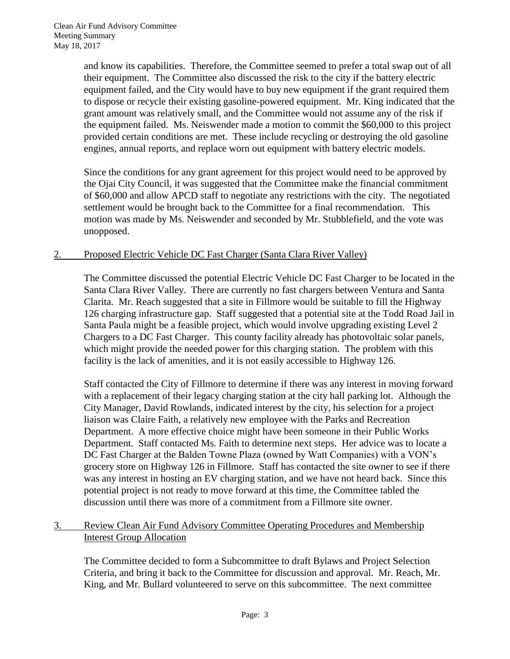and know its capabilities. Therefore, the Committee seemed to prefer a total swap out of all their equipment. The Committee also discussed the risk to the city if the battery electric equipment failed, and the City would have to buy new equipment if the grant required them to dispose or recycle their existing gasoline-powered equipment. Mr. King indicated that the grant amount was relatively small, and the Committee would not assume any of the risk if the equipment failed. Ms. Neiswender made a motion to commit the \$60,000 to this project provided certain conditions are met. These include recycling or destroying the old gasoline engines, annual reports, and replace worn out equipment with battery electric models.

Since the conditions for any grant agreement for this project would need to be approved by the Ojai City Council, it was suggested that the Committee make the financial commitment of \$60,000 and allow APCD staff to negotiate any restrictions with the city. The negotiated settlement would be brought back to the Committee for a final recommendation. This motion was made by Ms. Neiswender and seconded by Mr. Stubblefield, and the vote was unopposed.

## 2. Proposed Electric Vehicle DC Fast Charger (Santa Clara River Valley)

The Committee discussed the potential Electric Vehicle DC Fast Charger to be located in the Santa Clara River Valley. There are currently no fast chargers between Ventura and Santa Clarita. Mr. Reach suggested that a site in Fillmore would be suitable to fill the Highway 126 charging infrastructure gap. Staff suggested that a potential site at the Todd Road Jail in Santa Paula might be a feasible project, which would involve upgrading existing Level 2 Chargers to a DC Fast Charger. This county facility already has photovoltaic solar panels, which might provide the needed power for this charging station. The problem with this facility is the lack of amenities, and it is not easily accessible to Highway 126.

Staff contacted the City of Fillmore to determine if there was any interest in moving forward with a replacement of their legacy charging station at the city hall parking lot. Although the City Manager, David Rowlands, indicated interest by the city, his selection for a project liaison was Claire Faith, a relatively new employee with the Parks and Recreation Department. A more effective choice might have been someone in their Public Works Department. Staff contacted Ms. Faith to determine next steps. Her advice was to locate a DC Fast Charger at the Balden Towne Plaza (owned by Watt Companies) with a VON's grocery store on Highway 126 in Fillmore. Staff has contacted the site owner to see if there was any interest in hosting an EV charging station, and we have not heard back. Since this potential project is not ready to move forward at this time, the Committee tabled the discussion until there was more of a commitment from a Fillmore site owner.

## 3. Review Clean Air Fund Advisory Committee Operating Procedures and Membership Interest Group Allocation

The Committee decided to form a Subcommittee to draft Bylaws and Project Selection Criteria, and bring it back to the Committee for discussion and approval. Mr. Reach, Mr. King, and Mr. Bullard volunteered to serve on this subcommittee. The next committee